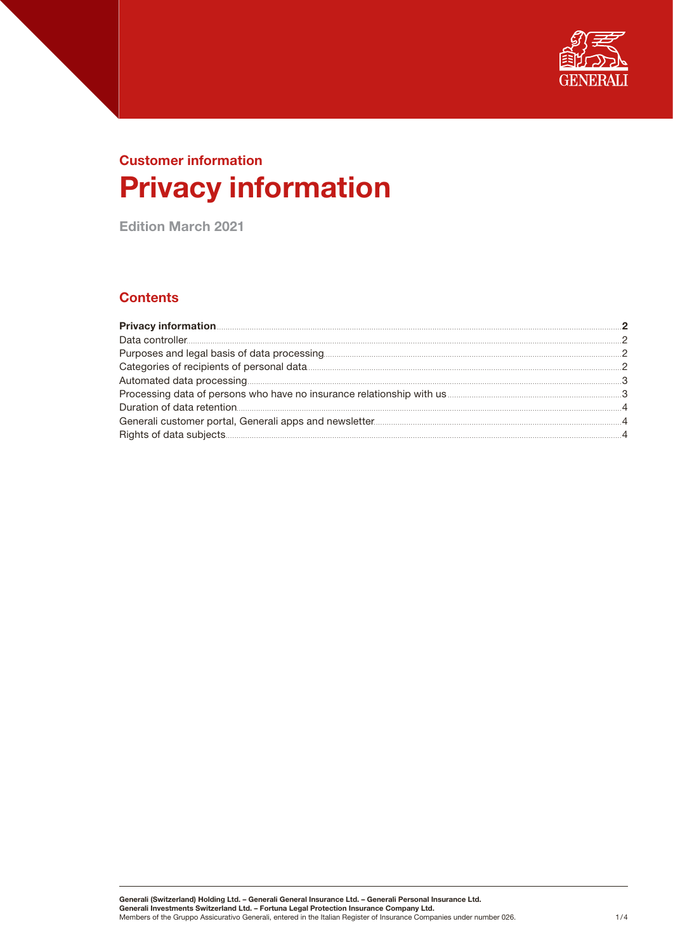

# Customer information Privacy information

Edition March 2021

# **Contents**

| Processing data of persons who have no insurance relationship with us <b>manufactural controller and the system</b> 3 |  |
|-----------------------------------------------------------------------------------------------------------------------|--|
|                                                                                                                       |  |
|                                                                                                                       |  |
|                                                                                                                       |  |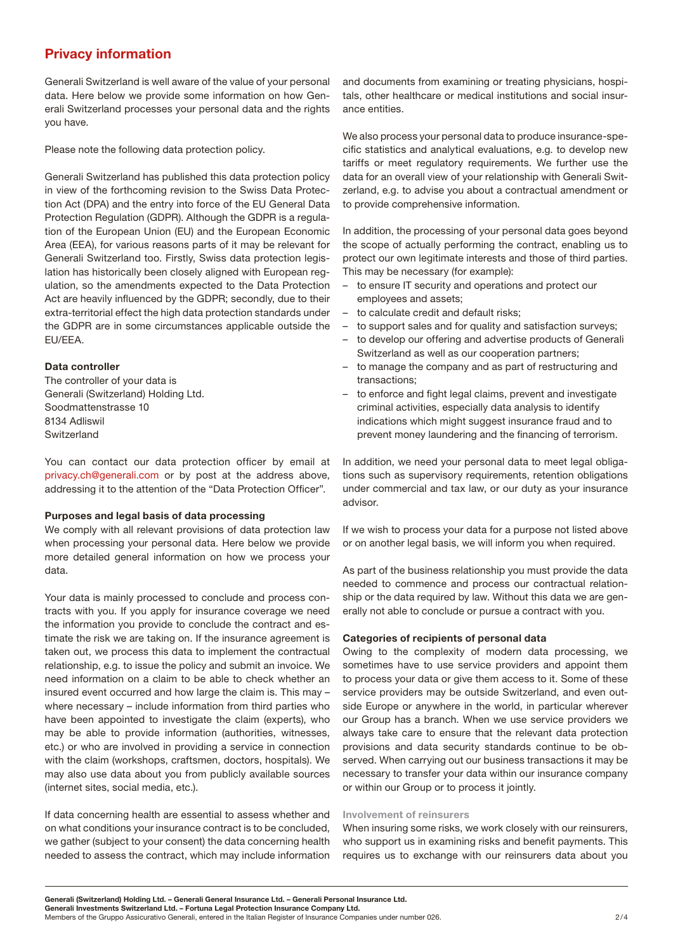# <span id="page-1-0"></span>Privacy information

Generali Switzerland is well aware of the value of your personal data. Here below we provide some information on how Generali Switzerland processes your personal data and the rights you have.

Please note the following data protection policy.

Generali Switzerland has published this data protection policy in view of the forthcoming revision to the Swiss Data Protection Act (DPA) and the entry into force of the EU General Data Protection Regulation (GDPR). Although the GDPR is a regulation of the European Union (EU) and the European Economic Area (EEA), for various reasons parts of it may be relevant for Generali Switzerland too. Firstly, Swiss data protection legislation has historically been closely aligned with European regulation, so the amendments expected to the Data Protection Act are heavily influenced by the GDPR; secondly, due to their extra-territorial effect the high data protection standards under the GDPR are in some circumstances applicable outside the EU/EEA.

## Data controller

The controller of your data is Generali (Switzerland) Holding Ltd. Soodmattenstrasse 10 8134 Adliswil Switzerland

You can contact our data protection officer by email at [privacy.ch@generali.com](mailto:privacy.ch%40generali.com?subject=) or by post at the address above, addressing it to the attention of the "Data Protection Officer".

#### Purposes and legal basis of data processing

We comply with all relevant provisions of data protection law when processing your personal data. Here below we provide more detailed general information on how we process your data.

Your data is mainly processed to conclude and process contracts with you. If you apply for insurance coverage we need the information you provide to conclude the contract and estimate the risk we are taking on. If the insurance agreement is taken out, we process this data to implement the contractual relationship, e.g. to issue the policy and submit an invoice. We need information on a claim to be able to check whether an insured event occurred and how large the claim is. This may – where necessary – include information from third parties who have been appointed to investigate the claim (experts), who may be able to provide information (authorities, witnesses, etc.) or who are involved in providing a service in connection with the claim (workshops, craftsmen, doctors, hospitals). We may also use data about you from publicly available sources (internet sites, social media, etc.).

If data concerning health are essential to assess whether and on what conditions your insurance contract is to be concluded, we gather (subject to your consent) the data concerning health needed to assess the contract, which may include information

and documents from examining or treating physicians, hospitals, other healthcare or medical institutions and social insurance entities.

We also process your personal data to produce insurance-specific statistics and analytical evaluations, e.g. to develop new tariffs or meet regulatory requirements. We further use the data for an overall view of your relationship with Generali Switzerland, e.g. to advise you about a contractual amendment or to provide comprehensive information.

In addition, the processing of your personal data goes beyond the scope of actually performing the contract, enabling us to protect our own legitimate interests and those of third parties. This may be necessary (for example):

- to ensure IT security and operations and protect our employees and assets;
- to calculate credit and default risks;
- to support sales and for quality and satisfaction surveys;
- to develop our offering and advertise products of Generali Switzerland as well as our cooperation partners;
- to manage the company and as part of restructuring and transactions;
- to enforce and fight legal claims, prevent and investigate criminal activities, especially data analysis to identify indications which might suggest insurance fraud and to prevent money laundering and the financing of terrorism.

In addition, we need your personal data to meet legal obligations such as supervisory requirements, retention obligations under commercial and tax law, or our duty as your insurance advisor.

If we wish to process your data for a purpose not listed above or on another legal basis, we will inform you when required.

As part of the business relationship you must provide the data needed to commence and process our contractual relationship or the data required by law. Without this data we are generally not able to conclude or pursue a contract with you.

## Categories of recipients of personal data

Owing to the complexity of modern data processing, we sometimes have to use service providers and appoint them to process your data or give them access to it. Some of these service providers may be outside Switzerland, and even outside Europe or anywhere in the world, in particular wherever our Group has a branch. When we use service providers we always take care to ensure that the relevant data protection provisions and data security standards continue to be observed. When carrying out our business transactions it may be necessary to transfer your data within our insurance company or within our Group or to process it jointly.

#### Involvement of reinsurers

When insuring some risks, we work closely with our reinsurers, who support us in examining risks and benefit payments. This requires us to exchange with our reinsurers data about you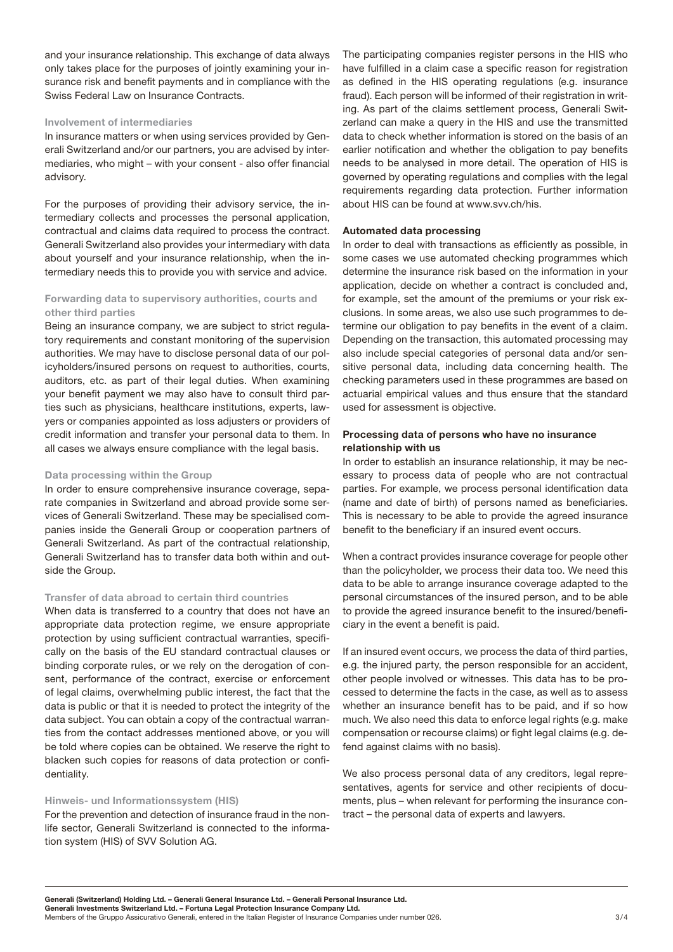<span id="page-2-0"></span>and your insurance relationship. This exchange of data always only takes place for the purposes of jointly examining your insurance risk and benefit payments and in compliance with the Swiss Federal Law on Insurance Contracts.

#### Involvement of intermediaries

In insurance matters or when using services provided by Generali Switzerland and/or our partners, you are advised by intermediaries, who might – with your consent - also offer financial advisory.

For the purposes of providing their advisory service, the intermediary collects and processes the personal application, contractual and claims data required to process the contract. Generali Switzerland also provides your intermediary with data about yourself and your insurance relationship, when the intermediary needs this to provide you with service and advice.

# Forwarding data to supervisory authorities, courts and other third parties

Being an insurance company, we are subject to strict regulatory requirements and constant monitoring of the supervision authorities. We may have to disclose personal data of our policyholders/insured persons on request to authorities, courts, auditors, etc. as part of their legal duties. When examining your benefit payment we may also have to consult third parties such as physicians, healthcare institutions, experts, lawyers or companies appointed as loss adjusters or providers of credit information and transfer your personal data to them. In all cases we always ensure compliance with the legal basis.

#### Data processing within the Group

In order to ensure comprehensive insurance coverage, separate companies in Switzerland and abroad provide some services of Generali Switzerland. These may be specialised companies inside the Generali Group or cooperation partners of Generali Switzerland. As part of the contractual relationship, Generali Switzerland has to transfer data both within and outside the Group.

#### Transfer of data abroad to certain third countries

When data is transferred to a country that does not have an appropriate data protection regime, we ensure appropriate protection by using sufficient contractual warranties, specifically on the basis of the EU standard contractual clauses or binding corporate rules, or we rely on the derogation of consent, performance of the contract, exercise or enforcement of legal claims, overwhelming public interest, the fact that the data is public or that it is needed to protect the integrity of the data subject. You can obtain a copy of the contractual warranties from the contact addresses mentioned above, or you will be told where copies can be obtained. We reserve the right to blacken such copies for reasons of data protection or confidentiality.

#### Hinweis- und Informationssystem (HIS)

For the prevention and detection of insurance fraud in the nonlife sector, Generali Switzerland is connected to the information system (HIS) of SVV Solution AG.

The participating companies register persons in the HIS who have fulfilled in a claim case a specific reason for registration as defined in the HIS operating regulations (e.g. insurance fraud). Each person will be informed of their registration in writing. As part of the claims settlement process, Generali Switzerland can make a query in the HIS and use the transmitted data to check whether information is stored on the basis of an earlier notification and whether the obligation to pay benefits needs to be analysed in more detail. The operation of HIS is governed by operating regulations and complies with the legal requirements regarding data protection. Further information about HIS can be found at [www.svv.ch/his.](http://www.svv.ch/his)

#### Automated data processing

In order to deal with transactions as efficiently as possible, in some cases we use automated checking programmes which determine the insurance risk based on the information in your application, decide on whether a contract is concluded and, for example, set the amount of the premiums or your risk exclusions. In some areas, we also use such programmes to determine our obligation to pay benefits in the event of a claim. Depending on the transaction, this automated processing may also include special categories of personal data and/or sensitive personal data, including data concerning health. The checking parameters used in these programmes are based on actuarial empirical values and thus ensure that the standard used for assessment is objective.

#### Processing data of persons who have no insurance relationship with us

In order to establish an insurance relationship, it may be necessary to process data of people who are not contractual parties. For example, we process personal identification data (name and date of birth) of persons named as beneficiaries. This is necessary to be able to provide the agreed insurance benefit to the beneficiary if an insured event occurs.

When a contract provides insurance coverage for people other than the policyholder, we process their data too. We need this data to be able to arrange insurance coverage adapted to the personal circumstances of the insured person, and to be able to provide the agreed insurance benefit to the insured/beneficiary in the event a benefit is paid.

If an insured event occurs, we process the data of third parties, e.g. the injured party, the person responsible for an accident, other people involved or witnesses. This data has to be processed to determine the facts in the case, as well as to assess whether an insurance benefit has to be paid, and if so how much. We also need this data to enforce legal rights (e.g. make compensation or recourse claims) or fight legal claims (e.g. defend against claims with no basis).

We also process personal data of any creditors, legal representatives, agents for service and other recipients of documents, plus – when relevant for performing the insurance contract – the personal data of experts and lawyers.